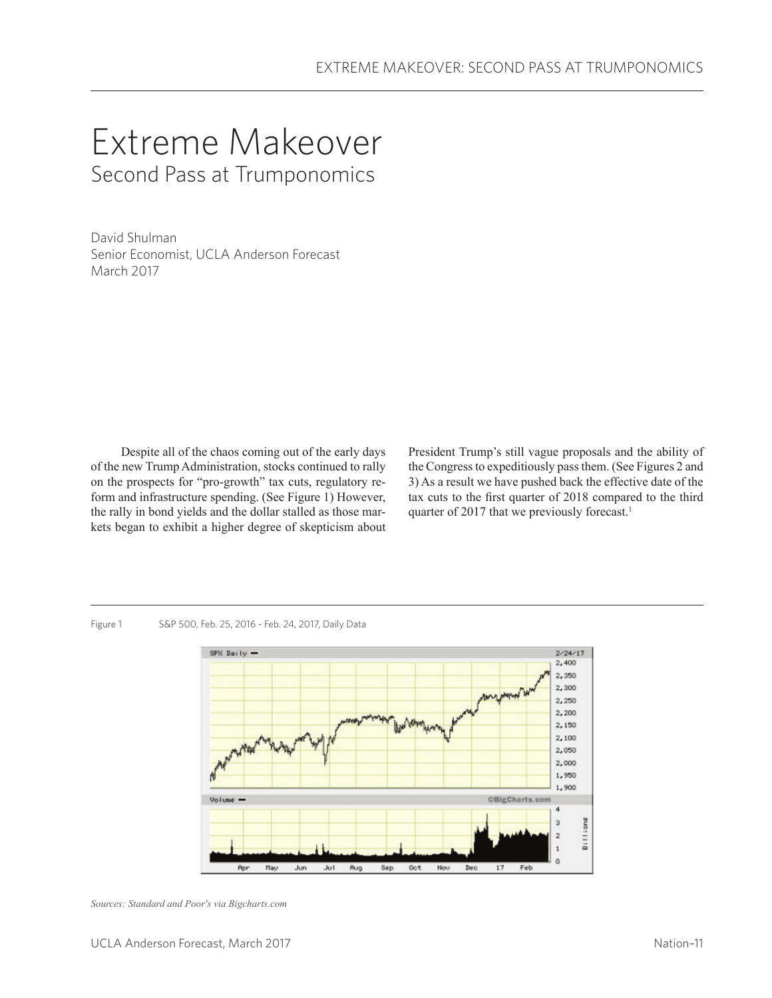# Extreme Makeover Second Pass at Trumponomics

David Shulman Senior Economist, UCLA Anderson Forecast March 2017

Despite all of the chaos coming out of the early days of the new Trump Administration, stocks continued to rally on the prospects for "pro-growth" tax cuts, regulatory reform and infrastructure spending. (See Figure 1) However, the rally in bond yields and the dollar stalled as those markets began to exhibit a higher degree of skepticism about

President Trump's still vague proposals and the ability of the Congress to expeditiously pass them. (See Figures 2 and 3) As a result we have pushed back the effective date of the tax cuts to the first quarter of 2018 compared to the third quarter of 2017 that we previously forecast.<sup>1</sup>

Figure 1 S&P 500, Feb. 25, 2016 - Feb. 24, 2017, Daily Data



*Sources: Standard and Poor's via Bigcharts.com*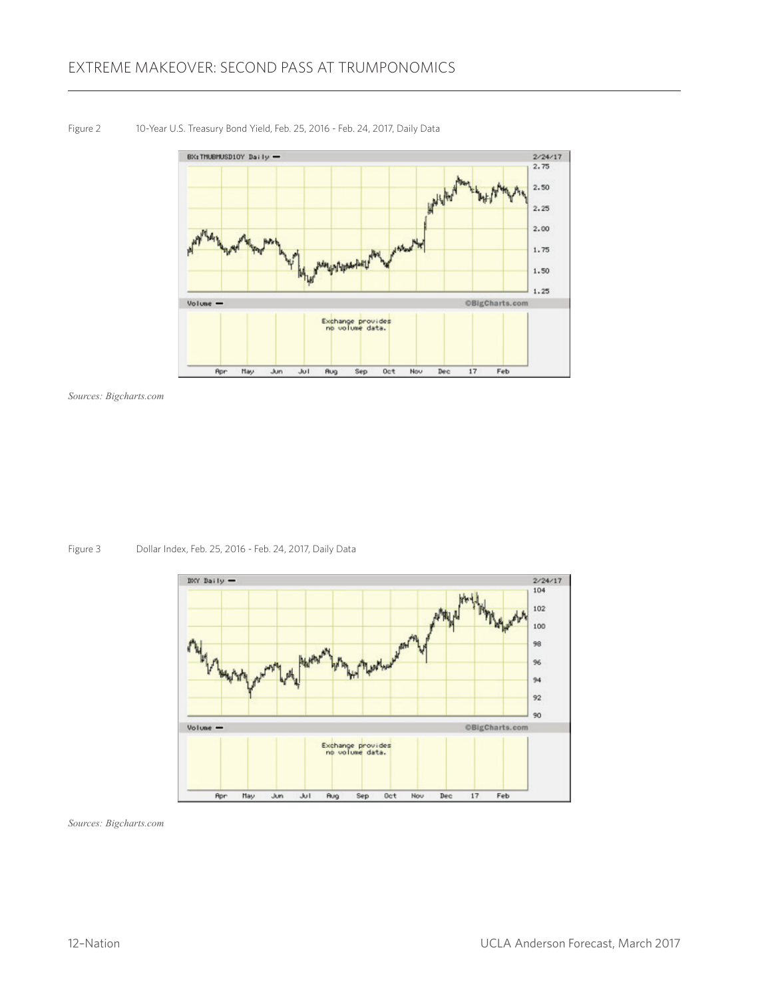

Figure 2 10-Year U.S. Treasury Bond Yield, Feb. 25, 2016 - Feb. 24, 2017, Daily Data

*Sources: Bigcharts.com*

Figure 3 Dollar Index, Feb. 25, 2016 - Feb. 24, 2017, Daily Data



*Sources: Bigcharts.com*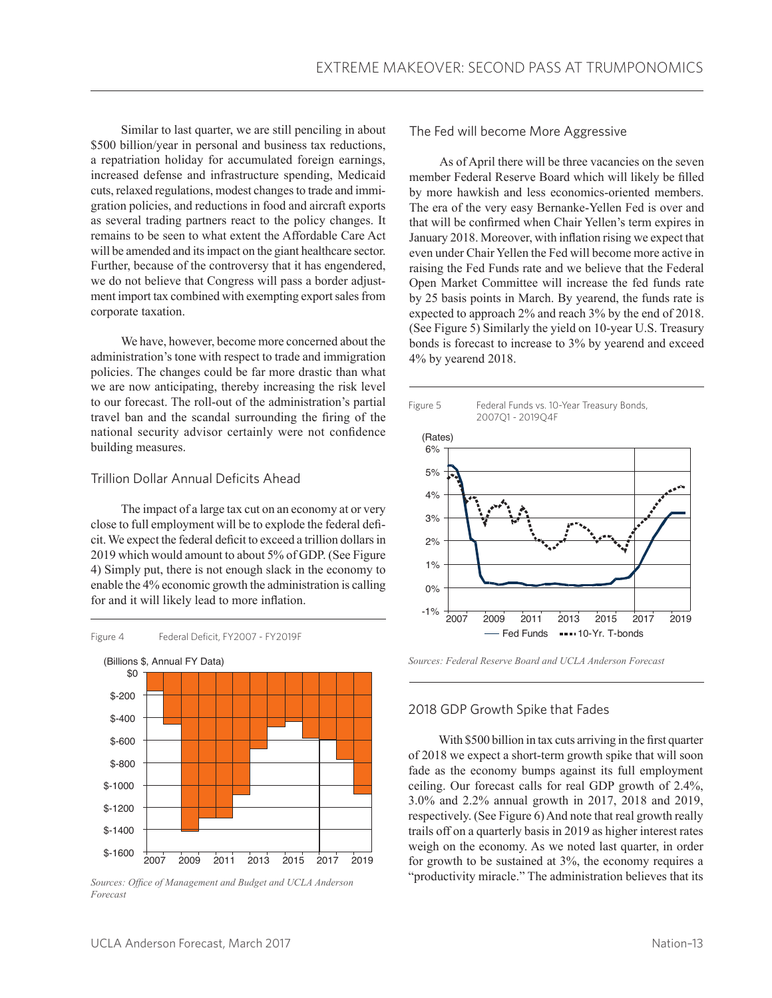Similar to last quarter, we are still penciling in about \$500 billion/year in personal and business tax reductions, a repatriation holiday for accumulated foreign earnings, increased defense and infrastructure spending, Medicaid cuts, relaxed regulations, modest changes to trade and immigration policies, and reductions in food and aircraft exports as several trading partners react to the policy changes. It remains to be seen to what extent the Affordable Care Act will be amended and its impact on the giant healthcare sector. Further, because of the controversy that it has engendered, we do not believe that Congress will pass a border adjustment import tax combined with exempting export sales from corporate taxation.

We have, however, become more concerned about the administration's tone with respect to trade and immigration policies. The changes could be far more drastic than what we are now anticipating, thereby increasing the risk level to our forecast. The roll-out of the administration's partial travel ban and the scandal surrounding the firing of the national security advisor certainly were not confidence building measures.

# Trillion Dollar Annual Deficits Ahead

The impact of a large tax cut on an economy at or very close to full employment will be to explode the federal deficit. We expect the federal deficit to exceed a trillion dollars in 2019 which would amount to about 5% of GDP. (See Figure 4) Simply put, there is not enough slack in the economy to enable the 4% economic growth the administration is calling for and it will likely lead to more inflation.



*Sources: Office of Management and Budget and UCLA Anderson Forecast*

The Fed will become More Aggressive

As of April there will be three vacancies on the seven member Federal Reserve Board which will likely be filled by more hawkish and less economics-oriented members. The era of the very easy Bernanke-Yellen Fed is over and that will be confirmed when Chair Yellen's term expires in January 2018. Moreover, with inflation rising we expect that even under Chair Yellen the Fed will become more active in raising the Fed Funds rate and we believe that the Federal Open Market Committee will increase the fed funds rate by 25 basis points in March. By yearend, the funds rate is expected to approach 2% and reach 3% by the end of 2018. (See Figure 5) Similarly the yield on 10-year U.S. Treasury bonds is forecast to increase to 3% by yearend and exceed 4% by yearend 2018.



*Sources: Federal Reserve Board and UCLA Anderson Forecast*

# 2018 GDP Growth Spike that Fades

With \$500 billion in tax cuts arriving in the first quarter of 2018 we expect a short-term growth spike that will soon fade as the economy bumps against its full employment ceiling. Our forecast calls for real GDP growth of 2.4%, 3.0% and 2.2% annual growth in 2017, 2018 and 2019, respectively. (See Figure 6) And note that real growth really trails off on a quarterly basis in 2019 as higher interest rates weigh on the economy. As we noted last quarter, in order for growth to be sustained at 3%, the economy requires a "productivity miracle." The administration believes that its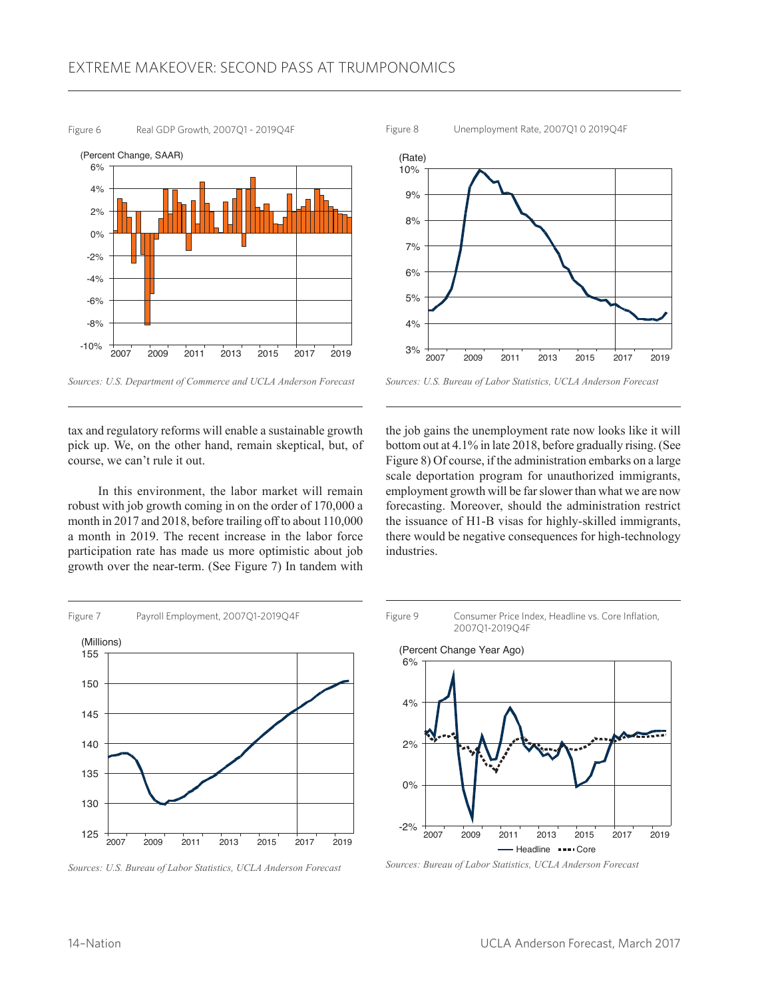Figure 6 Real GDP Growth, 2007Q1 - 2019Q4F



*Sources: U.S. Department of Commerce and UCLA Anderson Forecast*

tax and regulatory reforms will enable a sustainable growth pick up. We, on the other hand, remain skeptical, but, of course, we can't rule it out.

In this environment, the labor market will remain robust with job growth coming in on the order of 170,000 a month in 2017 and 2018, before trailing off to about 110,000 a month in 2019. The recent increase in the labor force participation rate has made us more optimistic about job growth over the near-term. (See Figure 7) In tandem with



*Sources: U.S. Bureau of Labor Statistics, UCLA Anderson Forecast*

the job gains the unemployment rate now looks like it will bottom out at 4.1% in late 2018, before gradually rising. (See Figure 8) Of course, if the administration embarks on a large scale deportation program for unauthorized immigrants, employment growth will be far slower than what we are now forecasting. Moreover, should the administration restrict the issuance of H1-B visas for highly-skilled immigrants, there would be negative consequences for high-technology industries.



*Sources: U.S. Bureau of Labor Statistics, UCLA Anderson Forecast*

Figure 9 Consumer Price Index, Headline vs. Core Inflation, 2007Q1-2019Q4F



*Sources: Bureau of Labor Statistics, UCLA Anderson Forecast*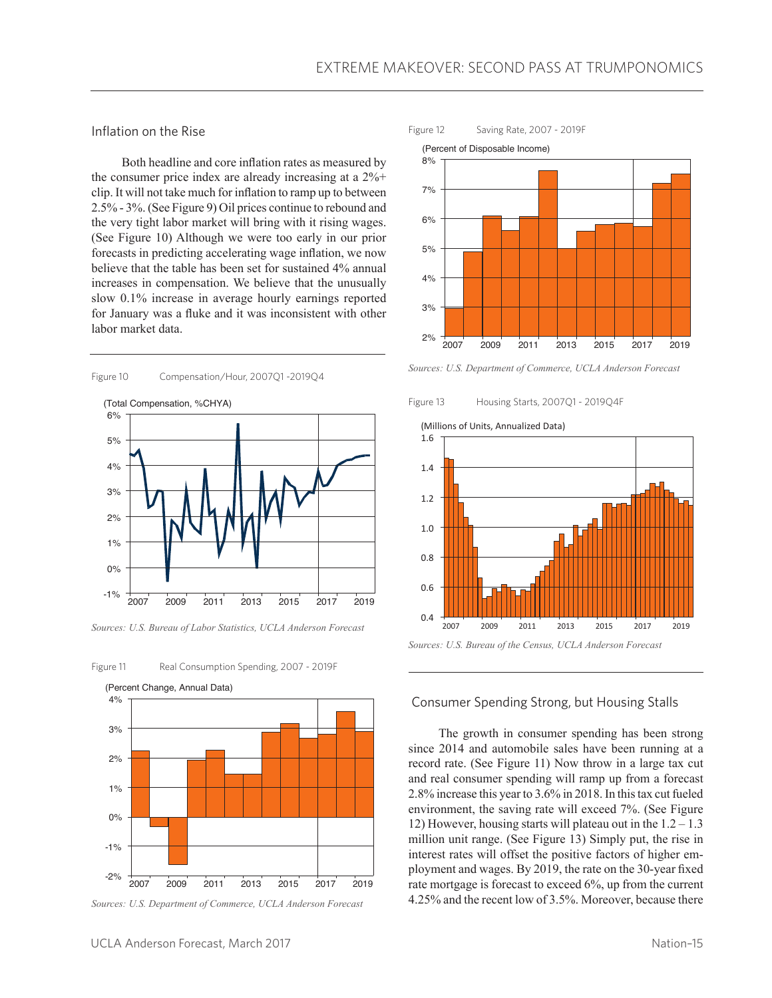Inflation on the Rise

Both headline and core inflation rates as measured by the consumer price index are already increasing at a 2%+ clip. It will not take much for inflation to ramp up to between 2.5% - 3%. (See Figure 9) Oil prices continue to rebound and the very tight labor market will bring with it rising wages. (See Figure 10) Although we were too early in our prior forecasts in predicting accelerating wage inflation, we now believe that the table has been set for sustained 4% annual increases in compensation. We believe that the unusually slow 0.1% increase in average hourly earnings reported for January was a fluke and it was inconsistent with other labor market data.

Figure 10 Compensation/Hour, 2007Q1 -2019Q4





*Sources: U.S. Bureau of Labor Statistics, UCLA Anderson Forecast*





*Sources: U.S. Department of Commerce, UCLA Anderson Forecast*







*Sources: U.S. Department of Commerce, UCLA Anderson Forecast*

Figure 13 Housing Starts, 2007Q1 - 2019Q4F



### Consumer Spending Strong, but Housing Stalls

The growth in consumer spending has been strong since 2014 and automobile sales have been running at a record rate. (See Figure 11) Now throw in a large tax cut and real consumer spending will ramp up from a forecast 2.8% increase this year to 3.6% in 2018. In this tax cut fueled environment, the saving rate will exceed 7%. (See Figure 12) However, housing starts will plateau out in the  $1.2 - 1.3$ million unit range. (See Figure 13) Simply put, the rise in interest rates will offset the positive factors of higher employment and wages. By 2019, the rate on the 30-year fixed rate mortgage is forecast to exceed 6%, up from the current 4.25% and the recent low of 3.5%. Moreover, because there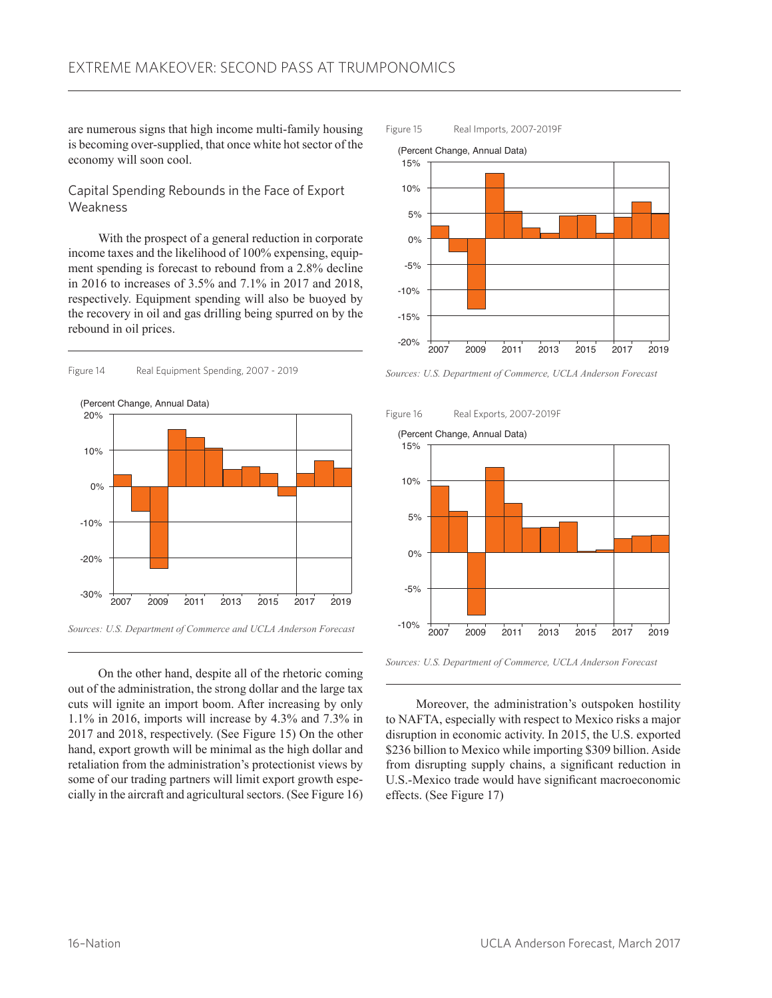are numerous signs that high income multi-family housing is becoming over-supplied, that once white hot sector of the economy will soon cool.

# Capital Spending Rebounds in the Face of Export **Weakness**

With the prospect of a general reduction in corporate income taxes and the likelihood of 100% expensing, equipment spending is forecast to rebound from a 2.8% decline in 2016 to increases of 3.5% and 7.1% in 2017 and 2018, respectively. Equipment spending will also be buoyed by the recovery in oil and gas drilling being spurred on by the rebound in oil prices.



(Percent Change, Annual Data)



On the other hand, despite all of the rhetoric coming out of the administration, the strong dollar and the large tax cuts will ignite an import boom. After increasing by only 1.1% in 2016, imports will increase by 4.3% and 7.3% in 2017 and 2018, respectively. (See Figure 15) On the other hand, export growth will be minimal as the high dollar and retaliation from the administration's protectionist views by some of our trading partners will limit export growth especially in the aircraft and agricultural sectors. (See Figure 16)



*Sources: U.S. Department of Commerce, UCLA Anderson Forecast*

Figure 16 Real Exports, 2007-2019F



*Sources: U.S. Department of Commerce, UCLA Anderson Forecast*

Moreover, the administration's outspoken hostility to NAFTA, especially with respect to Mexico risks a major disruption in economic activity. In 2015, the U.S. exported \$236 billion to Mexico while importing \$309 billion. Aside from disrupting supply chains, a significant reduction in U.S.-Mexico trade would have significant macroeconomic effects. (See Figure 17)